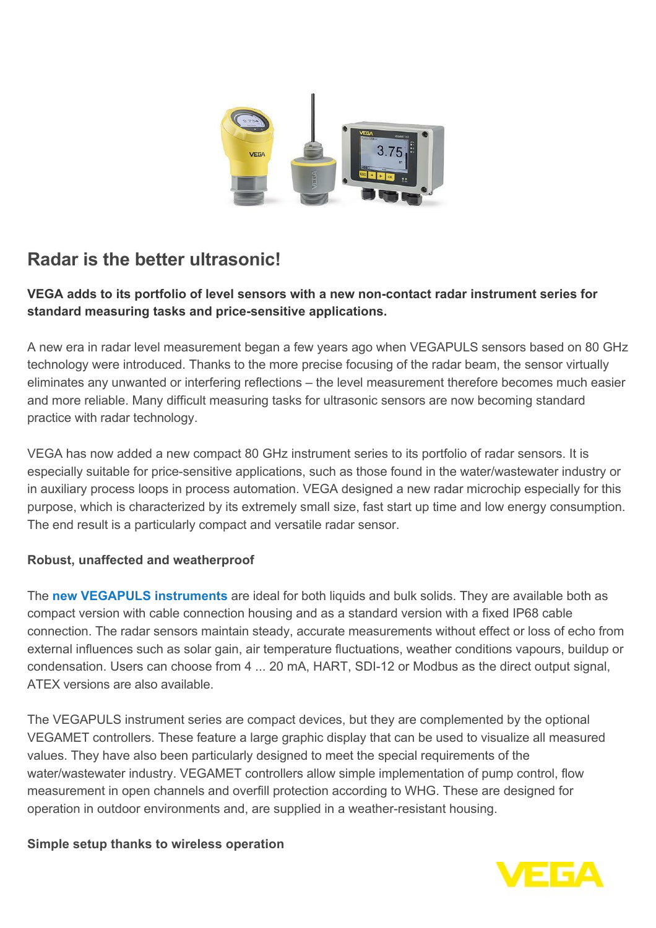

## **Radar is the better ultrasonic!**

## **VEGA adds to its portfolio of level sensors with a new non-contact radar instrument series for standard measuring tasks and price-sensitive applications.**

A new era in radar level measurement began a few years ago when VEGAPULS sensors based on 80 GHz technology were introduced. Thanks to the more precise focusing of the radar beam, the sensor virtually eliminates any unwanted or interfering reflections – the level measurement therefore becomes much easier and more reliable. Many difficult measuring tasks for ultrasonic sensors are now becoming standard practice with radar technology.

VEGA has now added a new compact 80 GHz instrument series to its portfolio of radar sensors. It is especially suitable for price-sensitive applications, such as those found in the water/wastewater industry or in auxiliary process loops in process automation. VEGA designed a new radar microchip especially for this purpose, which is characterized by its extremely small size, fast start up time and low energy consumption. The end result is a particularly compact and versatile radar sensor.

## **Robust, unaffected and weatherproof**

The **[new VEGAPULS instruments](http://localhost/en-it/products/product-catalog/level/radar/vegapuls)** are ideal for both liquids and bulk solids. They are available both as compact version with cable connection housing and as a standard version with a fixed IP68 cable connection. The radar sensors maintain steady, accurate measurements without effect or loss of echo from external influences such as solar gain, air temperature fluctuations, weather conditions vapours, buildup or condensation. Users can choose from 4 ... 20 mA, HART, SDI-12 or Modbus as the direct output signal, ATEX versions are also available.

The VEGAPULS instrument series are compact devices, but they are complemented by the optional VEGAMET controllers. These feature a large graphic display that can be used to visualize all measured values. They have also been particularly designed to meet the special requirements of the water/wastewater industry. VEGAMET controllers allow simple implementation of pump control, flow measurement in open channels and overfill protection according to WHG. These are designed for operation in outdoor environments and, are supplied in a weather-resistant housing.

## **Simple setup thanks to wireless operation**